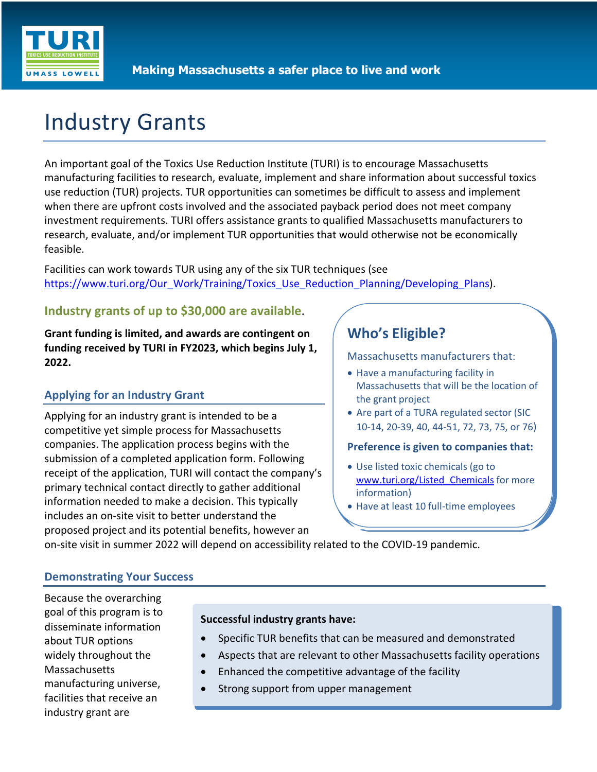

# Industry Grants

An important goal of the Toxics Use Reduction Institute (TURI) is to encourage Massachusetts manufacturing facilities to research, evaluate, implement and share information about successful toxics use reduction (TUR) projects. TUR opportunities can sometimes be difficult to assess and implement when there are upfront costs involved and the associated payback period does not meet company investment requirements. TURI offers assistance grants to qualified Massachusetts manufacturers to research, evaluate, and/or implement TUR opportunities that would otherwise not be economically feasible.

Facilities can work towards TUR using any of the six TUR techniques (see https://www.turi.org/Our\_Work/Training/Toxics\_Use\_Reduction\_Planning/Developing\_Plans).

# **Industry grants of up to \$30,000 are available**.

**Grant funding is limited, and awards are contingent on funding received by TURI in FY2023, which begins July 1, 2022.** 

# **Applying for an Industry Grant**

Applying for an industry grant is intended to be a competitive yet simple process for Massachusetts companies. The application process begins with the submission of a completed application form. Following receipt of the application, TURI will contact the company's primary technical contact directly to gather additional information needed to make a decision. This typically includes an on-site visit to better understand the proposed project and its potential benefits, however an

# **Who's Eligible?**

Massachusetts manufacturers that:

- Have a manufacturing facility in Massachusetts that will be the location of the grant project
- Are part of a TURA regulated sector (SIC 10-14, 20-39, 40, 44-51, 72, 73, 75, or 76)

#### **Preference is given to companies that:**

- Use listed toxic chemicals (go to www.turi.org/Listed Chemicals for more information)
- Have at least 10 full-time employees

on-site visit in summer 2022 will depend on accessibility related to the COVID-19 pandemic.

### **Demonstrating Your Success**

Because the overarching goal of this program is to disseminate information about TUR options widely throughout the Massachusetts manufacturing universe, facilities that receive an industry grant are

#### **Successful industry grants have:**

- Specific TUR benefits that can be measured and demonstrated
- Aspects that are relevant to other Massachusetts facility operations
- Enhanced the competitive advantage of the facility
- Strong support from upper management